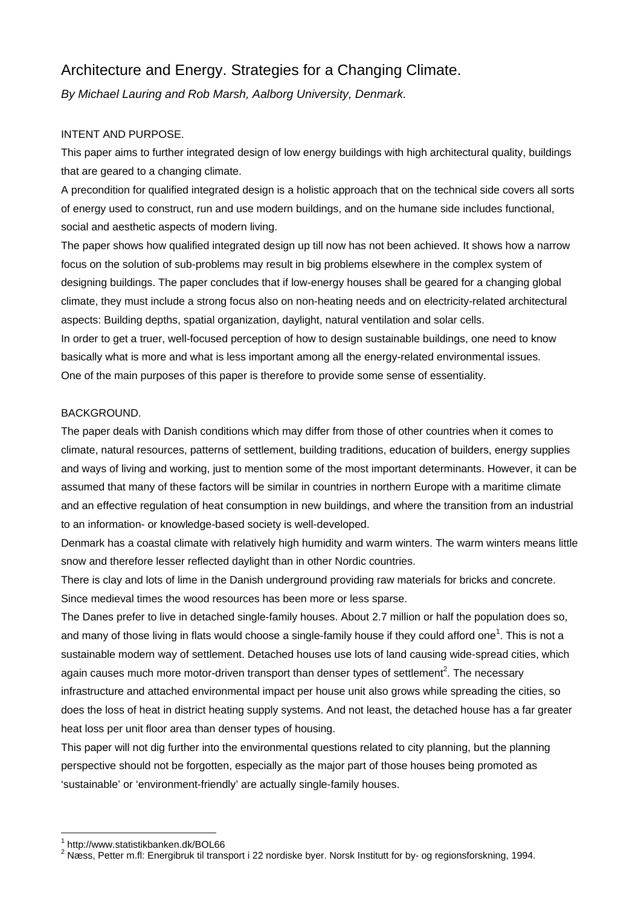# Architecture and Energy. Strategies for a Changing Climate.

*By Michael Lauring and Rob Marsh, Aalborg University, Denmark.* 

## INTENT AND PURPOSE.

This paper aims to further integrated design of low energy buildings with high architectural quality, buildings that are geared to a changing climate.

A precondition for qualified integrated design is a holistic approach that on the technical side covers all sorts of energy used to construct, run and use modern buildings, and on the humane side includes functional, social and aesthetic aspects of modern living.

The paper shows how qualified integrated design up till now has not been achieved. It shows how a narrow focus on the solution of sub-problems may result in big problems elsewhere in the complex system of designing buildings. The paper concludes that if low-energy houses shall be geared for a changing global climate, they must include a strong focus also on non-heating needs and on electricity-related architectural aspects: Building depths, spatial organization, daylight, natural ventilation and solar cells.

In order to get a truer, well-focused perception of how to design sustainable buildings, one need to know basically what is more and what is less important among all the energy-related environmental issues. One of the main purposes of this paper is therefore to provide some sense of essentiality.

## BACKGROUND.

The paper deals with Danish conditions which may differ from those of other countries when it comes to climate, natural resources, patterns of settlement, building traditions, education of builders, energy supplies and ways of living and working, just to mention some of the most important determinants. However, it can be assumed that many of these factors will be similar in countries in northern Europe with a maritime climate and an effective regulation of heat consumption in new buildings, and where the transition from an industrial to an information- or knowledge-based society is well-developed.

Denmark has a coastal climate with relatively high humidity and warm winters. The warm winters means little snow and therefore lesser reflected daylight than in other Nordic countries.

There is clay and lots of lime in the Danish underground providing raw materials for bricks and concrete. Since medieval times the wood resources has been more or less sparse.

The Danes prefer to live in detached single-family houses. About 2.7 million or half the population does so, and many of those living in flats would choose a single-family house if they could afford one<sup>1</sup>. This is not a sustainable modern way of settlement. Detached houses use lots of land causing wide-spread cities, which again causes much more motor-driven transport than denser types of settlement<sup>2</sup>. The necessary infrastructure and attached environmental impact per house unit also grows while spreading the cities, so does the loss of heat in district heating supply systems. And not least, the detached house has a far greater heat loss per unit floor area than denser types of housing.

This paper will not dig further into the environmental questions related to city planning, but the planning perspective should not be forgotten, especially as the major part of those houses being promoted as 'sustainable' or 'environment-friendly' are actually single-family houses.

 $\overline{a}$ 

<sup>1</sup> http://www.statistikbanken.dk/BOL66

 $^2$  Næss, Petter m.fl: Energibruk til transport i 22 nordiske byer. Norsk Institutt for by- og regionsforskning, 1994.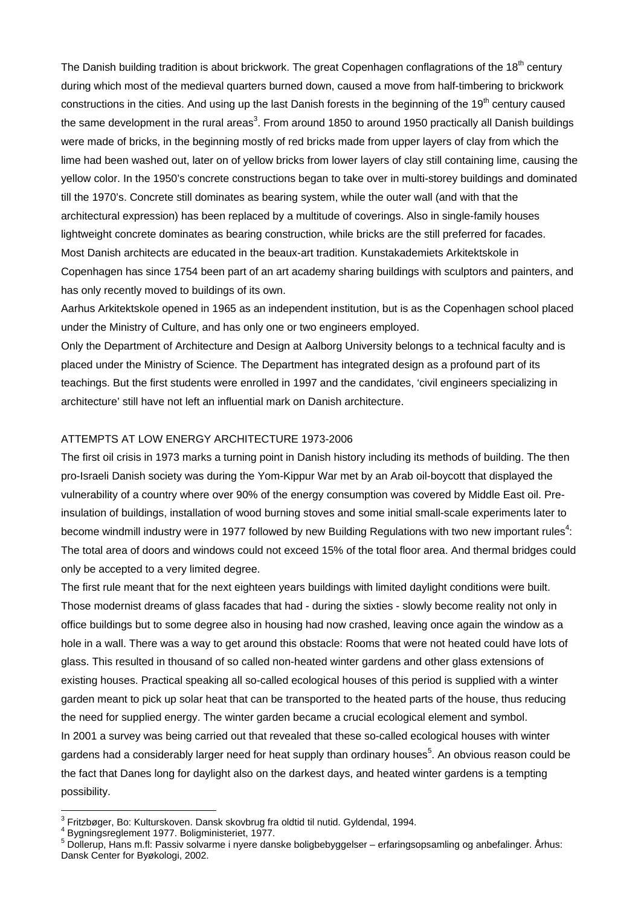The Danish building tradition is about brickwork. The great Copenhagen conflagrations of the 18<sup>th</sup> century during which most of the medieval quarters burned down, caused a move from half-timbering to brickwork constructions in the cities. And using up the last Danish forests in the beginning of the 19<sup>th</sup> century caused the same development in the rural areas<sup>3</sup>. From around 1850 to around 1950 practically all Danish buildings were made of bricks, in the beginning mostly of red bricks made from upper layers of clay from which the lime had been washed out, later on of yellow bricks from lower layers of clay still containing lime, causing the yellow color. In the 1950's concrete constructions began to take over in multi-storey buildings and dominated till the 1970's. Concrete still dominates as bearing system, while the outer wall (and with that the architectural expression) has been replaced by a multitude of coverings. Also in single-family houses lightweight concrete dominates as bearing construction, while bricks are the still preferred for facades. Most Danish architects are educated in the beaux-art tradition. Kunstakademiets Arkitektskole in Copenhagen has since 1754 been part of an art academy sharing buildings with sculptors and painters, and has only recently moved to buildings of its own.

Aarhus Arkitektskole opened in 1965 as an independent institution, but is as the Copenhagen school placed under the Ministry of Culture, and has only one or two engineers employed.

Only the Department of Architecture and Design at Aalborg University belongs to a technical faculty and is placed under the Ministry of Science. The Department has integrated design as a profound part of its teachings. But the first students were enrolled in 1997 and the candidates, 'civil engineers specializing in architecture' still have not left an influential mark on Danish architecture.

#### ATTEMPTS AT LOW ENERGY ARCHITECTURE 1973-2006

The first oil crisis in 1973 marks a turning point in Danish history including its methods of building. The then pro-Israeli Danish society was during the Yom-Kippur War met by an Arab oil-boycott that displayed the vulnerability of a country where over 90% of the energy consumption was covered by Middle East oil. Preinsulation of buildings, installation of wood burning stoves and some initial small-scale experiments later to become windmill industry were in 1977 followed by new Building Regulations with two new important rules<sup>4</sup>: The total area of doors and windows could not exceed 15% of the total floor area. And thermal bridges could only be accepted to a very limited degree.

The first rule meant that for the next eighteen years buildings with limited daylight conditions were built. Those modernist dreams of glass facades that had - during the sixties - slowly become reality not only in office buildings but to some degree also in housing had now crashed, leaving once again the window as a hole in a wall. There was a way to get around this obstacle: Rooms that were not heated could have lots of glass. This resulted in thousand of so called non-heated winter gardens and other glass extensions of existing houses. Practical speaking all so-called ecological houses of this period is supplied with a winter garden meant to pick up solar heat that can be transported to the heated parts of the house, thus reducing the need for supplied energy. The winter garden became a crucial ecological element and symbol. In 2001 a survey was being carried out that revealed that these so-called ecological houses with winter gardens had a considerably larger need for heat supply than ordinary houses<sup>5</sup>. An obvious reason could be the fact that Danes long for daylight also on the darkest days, and heated winter gardens is a tempting possibility.

<sup>3&</sup>lt;br><sup>3</sup> Fritzbøger, Bo: Kulturskoven. Dansk skovbrug fra oldtid til nutid. Gyldendal, 1994.

Bygningsreglement 1977. Boligministeriet, 1977.

<sup>&</sup>lt;sup>5</sup> Dollerup, Hans m.fl: Passiv solvarme i nyere danske boligbebyggelser – erfaringsopsamling og anbefalinger. Århus: Dansk Center for Byøkologi, 2002.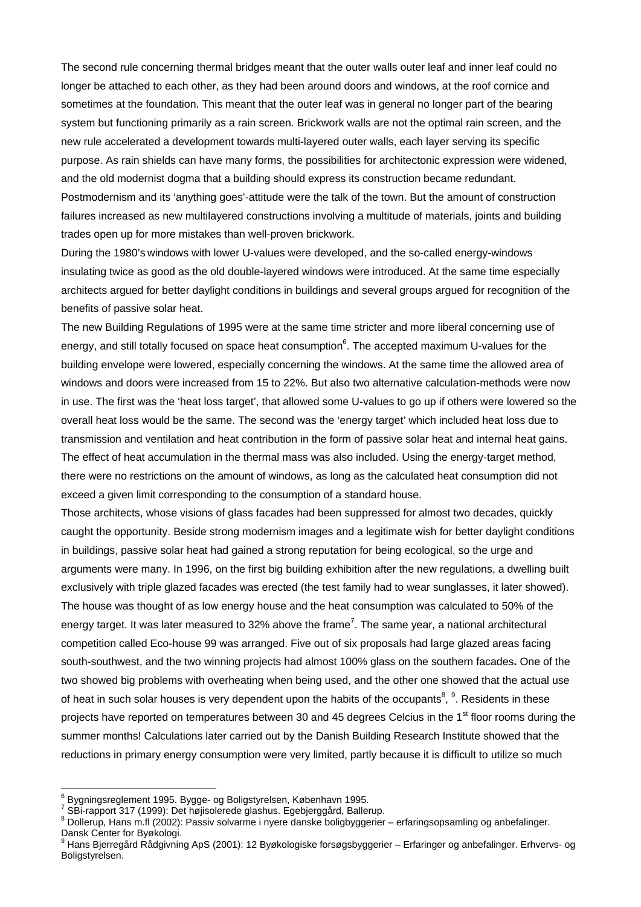The second rule concerning thermal bridges meant that the outer walls outer leaf and inner leaf could no longer be attached to each other, as they had been around doors and windows, at the roof cornice and sometimes at the foundation. This meant that the outer leaf was in general no longer part of the bearing system but functioning primarily as a rain screen. Brickwork walls are not the optimal rain screen, and the new rule accelerated a development towards multi-layered outer walls, each layer serving its specific purpose. As rain shields can have many forms, the possibilities for architectonic expression were widened, and the old modernist dogma that a building should express its construction became redundant. Postmodernism and its 'anything goes'-attitude were the talk of the town. But the amount of construction failures increased as new multilayered constructions involving a multitude of materials, joints and building trades open up for more mistakes than well-proven brickwork.

During the 1980's windows with lower U-values were developed, and the so-called energy-windows insulating twice as good as the old double-layered windows were introduced. At the same time especially architects argued for better daylight conditions in buildings and several groups argued for recognition of the benefits of passive solar heat.

The new Building Regulations of 1995 were at the same time stricter and more liberal concerning use of energy, and still totally focused on space heat consumption<sup>6</sup>. The accepted maximum U-values for the building envelope were lowered, especially concerning the windows. At the same time the allowed area of windows and doors were increased from 15 to 22%. But also two alternative calculation-methods were now in use. The first was the 'heat loss target', that allowed some U-values to go up if others were lowered so the overall heat loss would be the same. The second was the 'energy target' which included heat loss due to transmission and ventilation and heat contribution in the form of passive solar heat and internal heat gains. The effect of heat accumulation in the thermal mass was also included. Using the energy-target method, there were no restrictions on the amount of windows, as long as the calculated heat consumption did not exceed a given limit corresponding to the consumption of a standard house.

Those architects, whose visions of glass facades had been suppressed for almost two decades, quickly caught the opportunity. Beside strong modernism images and a legitimate wish for better daylight conditions in buildings, passive solar heat had gained a strong reputation for being ecological, so the urge and arguments were many. In 1996, on the first big building exhibition after the new regulations, a dwelling built exclusively with triple glazed facades was erected (the test family had to wear sunglasses, it later showed). The house was thought of as low energy house and the heat consumption was calculated to 50% of the energy target. It was later measured to 32% above the frame<sup>7</sup>. The same year, a national architectural competition called Eco-house 99 was arranged. Five out of six proposals had large glazed areas facing south-southwest, and the two winning projects had almost 100% glass on the southern facades**.** One of the two showed big problems with overheating when being used, and the other one showed that the actual use of heat in such solar houses is very dependent upon the habits of the occupants<sup>8</sup>,  $9$ . Residents in these projects have reported on temperatures between 30 and 45 degrees Celcius in the 1<sup>st</sup> floor rooms during the summer months! Calculations later carried out by the Danish Building Research Institute showed that the reductions in primary energy consumption were very limited, partly because it is difficult to utilize so much

e<br><sup>6</sup> Bygningsreglement 1995. Bygge- og Boligstyrelsen, København 1995.<br><sup>7</sup> SBi rannert 317 (1999): Det bajjeelerede gleebue. Egebiergeård, Beller

SBi-rapport 317 (1999): Det højisolerede glashus. Egebjerggård, Ballerup.

<sup>&</sup>lt;sup>8</sup> Dollerup, Hans m.fl (2002): Passiv solvarme i nyere danske boligbyggerier – erfaringsopsamling og anbefalinger. Dansk Center for Byøkologi.

<sup>9</sup> Hans Bjerregård Rådgivning ApS (2001): 12 Byøkologiske forsøgsbyggerier – Erfaringer og anbefalinger. Erhvervs- og Boligstyrelsen.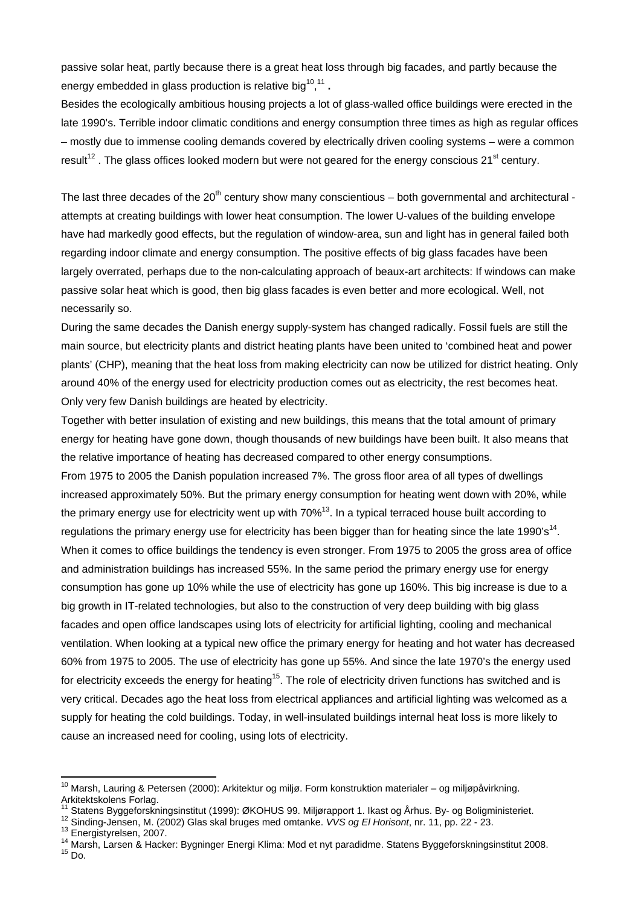passive solar heat, partly because there is a great heat loss through big facades, and partly because the energy embedded in glass production is relative big<sup>10</sup>,<sup>11</sup>.

Besides the ecologically ambitious housing projects a lot of glass-walled office buildings were erected in the late 1990's. Terrible indoor climatic conditions and energy consumption three times as high as regular offices – mostly due to immense cooling demands covered by electrically driven cooling systems – were a common result<sup>12</sup>. The glass offices looked modern but were not geared for the energy conscious 21<sup>st</sup> century.

The last three decades of the 20<sup>th</sup> century show many conscientious – both governmental and architectural attempts at creating buildings with lower heat consumption. The lower U-values of the building envelope have had markedly good effects, but the regulation of window-area, sun and light has in general failed both regarding indoor climate and energy consumption. The positive effects of big glass facades have been largely overrated, perhaps due to the non-calculating approach of beaux-art architects: If windows can make passive solar heat which is good, then big glass facades is even better and more ecological. Well, not necessarily so.

During the same decades the Danish energy supply-system has changed radically. Fossil fuels are still the main source, but electricity plants and district heating plants have been united to 'combined heat and power plants' (CHP), meaning that the heat loss from making electricity can now be utilized for district heating. Only around 40% of the energy used for electricity production comes out as electricity, the rest becomes heat. Only very few Danish buildings are heated by electricity.

Together with better insulation of existing and new buildings, this means that the total amount of primary energy for heating have gone down, though thousands of new buildings have been built. It also means that the relative importance of heating has decreased compared to other energy consumptions.

From 1975 to 2005 the Danish population increased 7%. The gross floor area of all types of dwellings increased approximately 50%. But the primary energy consumption for heating went down with 20%, while the primary energy use for electricity went up with  $70\%$ <sup>13</sup>. In a typical terraced house built according to regulations the primary energy use for electricity has been bigger than for heating since the late 1990's<sup>14</sup>. When it comes to office buildings the tendency is even stronger. From 1975 to 2005 the gross area of office and administration buildings has increased 55%. In the same period the primary energy use for energy consumption has gone up 10% while the use of electricity has gone up 160%. This big increase is due to a big growth in IT-related technologies, but also to the construction of very deep building with big glass facades and open office landscapes using lots of electricity for artificial lighting, cooling and mechanical ventilation. When looking at a typical new office the primary energy for heating and hot water has decreased 60% from 1975 to 2005. The use of electricity has gone up 55%. And since the late 1970's the energy used for electricity exceeds the energy for heating<sup>15</sup>. The role of electricity driven functions has switched and is very critical. Decades ago the heat loss from electrical appliances and artificial lighting was welcomed as a supply for heating the cold buildings. Today, in well-insulated buildings internal heat loss is more likely to cause an increased need for cooling, using lots of electricity.

- <sup>12</sup> Sinding-Jensen, M. (2002) Glas skal bruges med omtanke. *VVS og El Horisont*, nr. 11, pp. 22 23.<br><sup>13</sup> Energistyrelsen, 2007.<br><sup>14</sup> Marsh, Larsen & Hacker: Bygninger Energi Klima: Mod et nyt paradidme. Statens Byggefo
- 

 $\overline{a}$ 

<sup>&</sup>lt;sup>10</sup> Marsh, Lauring & Petersen (2000): Arkitektur og miljø. Form konstruktion materialer – og miljøpåvirkning. Arkitektskolens Forlag.<br><sup>11</sup> Statens Byggeforskningsinstitut (1999): ØKOHUS 99. Miliørapport 1. Ikast og Århus. By- og Boligministeriet.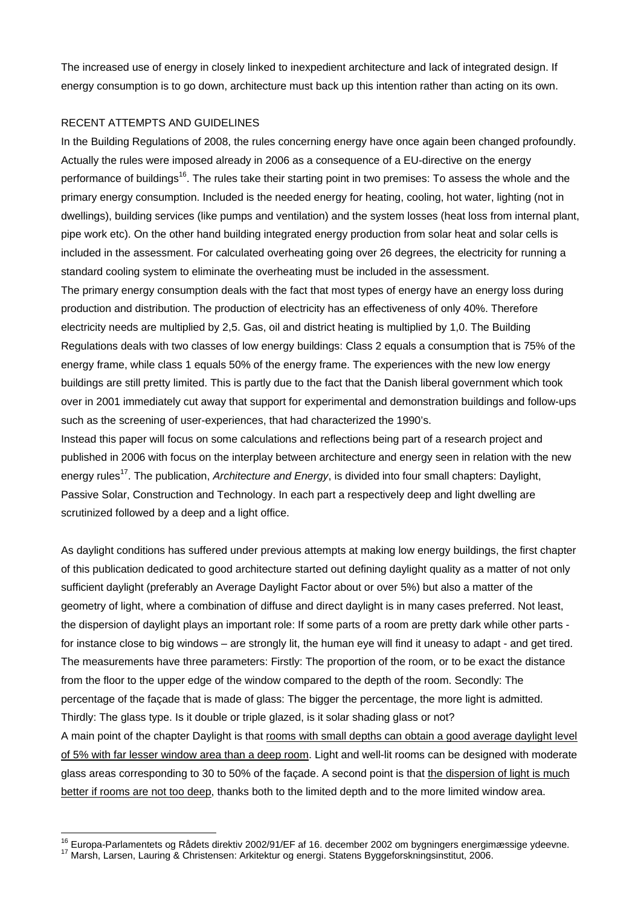The increased use of energy in closely linked to inexpedient architecture and lack of integrated design. If energy consumption is to go down, architecture must back up this intention rather than acting on its own.

#### RECENT ATTEMPTS AND GUIDELINES

In the Building Regulations of 2008, the rules concerning energy have once again been changed profoundly. Actually the rules were imposed already in 2006 as a consequence of a EU-directive on the energy performance of buildings<sup>16</sup>. The rules take their starting point in two premises: To assess the whole and the primary energy consumption. Included is the needed energy for heating, cooling, hot water, lighting (not in dwellings), building services (like pumps and ventilation) and the system losses (heat loss from internal plant, pipe work etc). On the other hand building integrated energy production from solar heat and solar cells is included in the assessment. For calculated overheating going over 26 degrees, the electricity for running a standard cooling system to eliminate the overheating must be included in the assessment. The primary energy consumption deals with the fact that most types of energy have an energy loss during production and distribution. The production of electricity has an effectiveness of only 40%. Therefore electricity needs are multiplied by 2,5. Gas, oil and district heating is multiplied by 1,0. The Building Regulations deals with two classes of low energy buildings: Class 2 equals a consumption that is 75% of the energy frame, while class 1 equals 50% of the energy frame. The experiences with the new low energy buildings are still pretty limited. This is partly due to the fact that the Danish liberal government which took over in 2001 immediately cut away that support for experimental and demonstration buildings and follow-ups such as the screening of user-experiences, that had characterized the 1990's.

Instead this paper will focus on some calculations and reflections being part of a research project and published in 2006 with focus on the interplay between architecture and energy seen in relation with the new energy rules<sup>17</sup>. The publication, *Architecture and Energy*, is divided into four small chapters: Daylight, Passive Solar, Construction and Technology. In each part a respectively deep and light dwelling are scrutinized followed by a deep and a light office.

As daylight conditions has suffered under previous attempts at making low energy buildings, the first chapter of this publication dedicated to good architecture started out defining daylight quality as a matter of not only sufficient daylight (preferably an Average Daylight Factor about or over 5%) but also a matter of the geometry of light, where a combination of diffuse and direct daylight is in many cases preferred. Not least, the dispersion of daylight plays an important role: If some parts of a room are pretty dark while other parts for instance close to big windows – are strongly lit, the human eye will find it uneasy to adapt - and get tired. The measurements have three parameters: Firstly: The proportion of the room, or to be exact the distance from the floor to the upper edge of the window compared to the depth of the room. Secondly: The percentage of the façade that is made of glass: The bigger the percentage, the more light is admitted. Thirdly: The glass type. Is it double or triple glazed, is it solar shading glass or not? A main point of the chapter Daylight is that rooms with small depths can obtain a good average daylight level of 5% with far lesser window area than a deep room. Light and well-lit rooms can be designed with moderate glass areas corresponding to 30 to 50% of the façade. A second point is that the dispersion of light is much

better if rooms are not too deep, thanks both to the limited depth and to the more limited window area.

 $\overline{a}$ 

<sup>&</sup>lt;sup>16</sup> Europa-Parlamentets og Rådets direktiv 2002/91/EF af 16. december 2002 om bygningers energimæssige ydeevne.<br><sup>17</sup> Marsh, Larsen, Lauring & Christensen: Arkitektur og energi. Statens Byggeforskningsinstitut, 2006.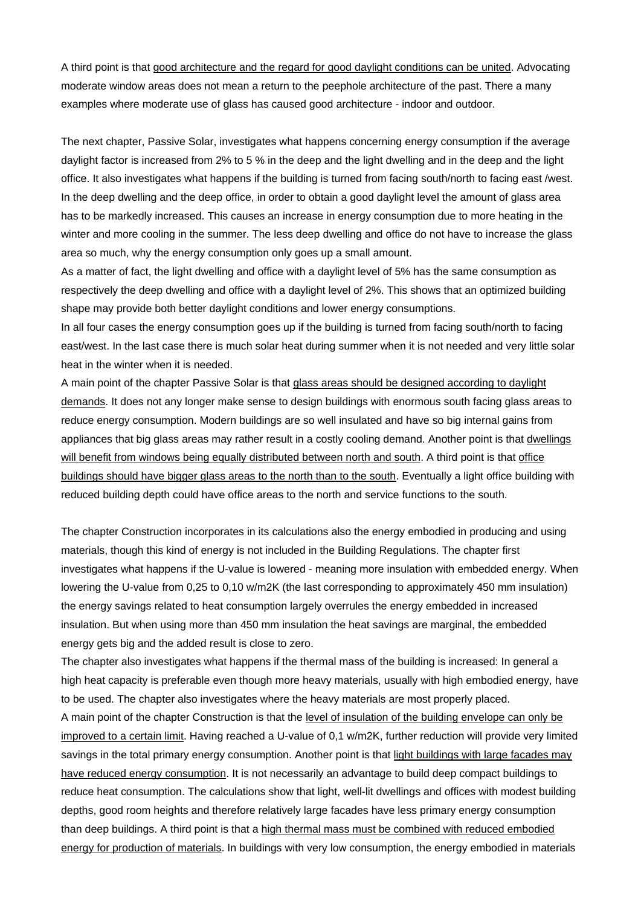A third point is that good architecture and the regard for good daylight conditions can be united. Advocating moderate window areas does not mean a return to the peephole architecture of the past. There a many examples where moderate use of glass has caused good architecture - indoor and outdoor.

The next chapter, Passive Solar, investigates what happens concerning energy consumption if the average daylight factor is increased from 2% to 5 % in the deep and the light dwelling and in the deep and the light office. It also investigates what happens if the building is turned from facing south/north to facing east /west. In the deep dwelling and the deep office, in order to obtain a good daylight level the amount of glass area has to be markedly increased. This causes an increase in energy consumption due to more heating in the winter and more cooling in the summer. The less deep dwelling and office do not have to increase the glass area so much, why the energy consumption only goes up a small amount.

As a matter of fact, the light dwelling and office with a daylight level of 5% has the same consumption as respectively the deep dwelling and office with a daylight level of 2%. This shows that an optimized building shape may provide both better daylight conditions and lower energy consumptions.

In all four cases the energy consumption goes up if the building is turned from facing south/north to facing east/west. In the last case there is much solar heat during summer when it is not needed and very little solar heat in the winter when it is needed.

A main point of the chapter Passive Solar is that glass areas should be designed according to daylight demands. It does not any longer make sense to design buildings with enormous south facing glass areas to reduce energy consumption. Modern buildings are so well insulated and have so big internal gains from appliances that big glass areas may rather result in a costly cooling demand. Another point is that dwellings will benefit from windows being equally distributed between north and south. A third point is that office buildings should have bigger glass areas to the north than to the south. Eventually a light office building with reduced building depth could have office areas to the north and service functions to the south.

The chapter Construction incorporates in its calculations also the energy embodied in producing and using materials, though this kind of energy is not included in the Building Regulations. The chapter first investigates what happens if the U-value is lowered - meaning more insulation with embedded energy. When lowering the U-value from 0,25 to 0,10 w/m2K (the last corresponding to approximately 450 mm insulation) the energy savings related to heat consumption largely overrules the energy embedded in increased insulation. But when using more than 450 mm insulation the heat savings are marginal, the embedded energy gets big and the added result is close to zero.

The chapter also investigates what happens if the thermal mass of the building is increased: In general a high heat capacity is preferable even though more heavy materials, usually with high embodied energy, have to be used. The chapter also investigates where the heavy materials are most properly placed.

A main point of the chapter Construction is that the level of insulation of the building envelope can only be improved to a certain limit. Having reached a U-value of 0,1 w/m2K, further reduction will provide very limited savings in the total primary energy consumption. Another point is that light buildings with large facades may have reduced energy consumption. It is not necessarily an advantage to build deep compact buildings to reduce heat consumption. The calculations show that light, well-lit dwellings and offices with modest building depths, good room heights and therefore relatively large facades have less primary energy consumption than deep buildings. A third point is that a high thermal mass must be combined with reduced embodied energy for production of materials. In buildings with very low consumption, the energy embodied in materials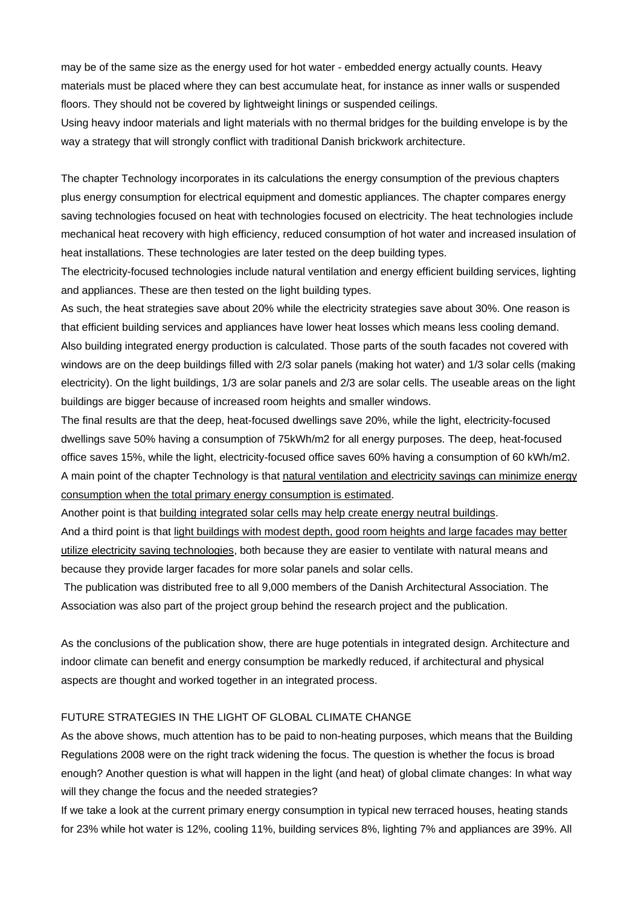may be of the same size as the energy used for hot water - embedded energy actually counts. Heavy materials must be placed where they can best accumulate heat, for instance as inner walls or suspended floors. They should not be covered by lightweight linings or suspended ceilings.

Using heavy indoor materials and light materials with no thermal bridges for the building envelope is by the way a strategy that will strongly conflict with traditional Danish brickwork architecture.

The chapter Technology incorporates in its calculations the energy consumption of the previous chapters plus energy consumption for electrical equipment and domestic appliances. The chapter compares energy saving technologies focused on heat with technologies focused on electricity. The heat technologies include mechanical heat recovery with high efficiency, reduced consumption of hot water and increased insulation of heat installations. These technologies are later tested on the deep building types.

The electricity-focused technologies include natural ventilation and energy efficient building services, lighting and appliances. These are then tested on the light building types.

As such, the heat strategies save about 20% while the electricity strategies save about 30%. One reason is that efficient building services and appliances have lower heat losses which means less cooling demand. Also building integrated energy production is calculated. Those parts of the south facades not covered with windows are on the deep buildings filled with 2/3 solar panels (making hot water) and 1/3 solar cells (making electricity). On the light buildings, 1/3 are solar panels and 2/3 are solar cells. The useable areas on the light buildings are bigger because of increased room heights and smaller windows.

The final results are that the deep, heat-focused dwellings save 20%, while the light, electricity-focused dwellings save 50% having a consumption of 75kWh/m2 for all energy purposes. The deep, heat-focused office saves 15%, while the light, electricity-focused office saves 60% having a consumption of 60 kWh/m2. A main point of the chapter Technology is that natural ventilation and electricity savings can minimize energy consumption when the total primary energy consumption is estimated.

Another point is that building integrated solar cells may help create energy neutral buildings.

And a third point is that light buildings with modest depth, good room heights and large facades may better utilize electricity saving technologies, both because they are easier to ventilate with natural means and because they provide larger facades for more solar panels and solar cells.

 The publication was distributed free to all 9,000 members of the Danish Architectural Association. The Association was also part of the project group behind the research project and the publication.

As the conclusions of the publication show, there are huge potentials in integrated design. Architecture and indoor climate can benefit and energy consumption be markedly reduced, if architectural and physical aspects are thought and worked together in an integrated process.

### FUTURE STRATEGIES IN THE LIGHT OF GLOBAL CLIMATE CHANGE

As the above shows, much attention has to be paid to non-heating purposes, which means that the Building Regulations 2008 were on the right track widening the focus. The question is whether the focus is broad enough? Another question is what will happen in the light (and heat) of global climate changes: In what way will they change the focus and the needed strategies?

If we take a look at the current primary energy consumption in typical new terraced houses, heating stands for 23% while hot water is 12%, cooling 11%, building services 8%, lighting 7% and appliances are 39%. All